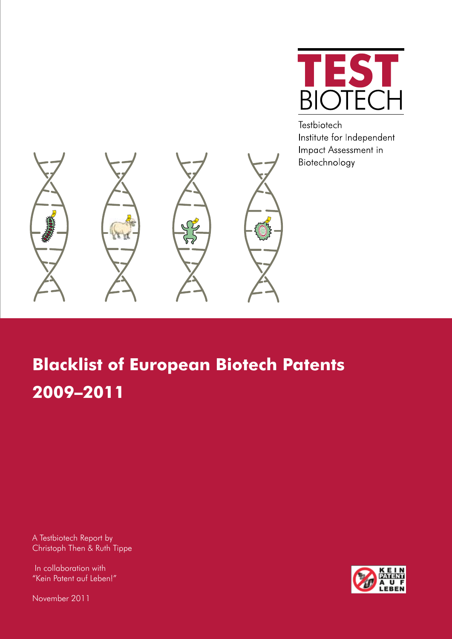

Testbiotech Institute for Independent Impact Assessment in Biotechnology



# **Blacklist of European Biotech Patents 2009–2011**

A Testbiotech Report by Christoph Then & Ruth Tippe

 In collaboration with "Kein Patent auf Leben!"

November 2011

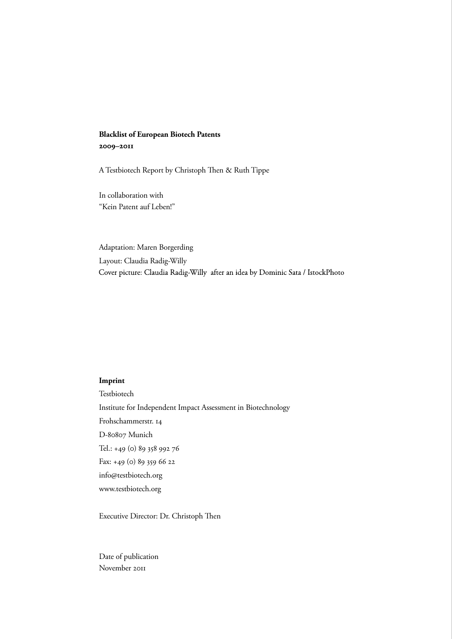## **Blacklist of European Biotech Patents 2009–2011**

A Testbiotech Report by Christoph Then & Ruth Tippe

In collaboration with "Kein Patent auf Leben!"

Adaptation: Maren Borgerding Layout: Claudia Radig-Willy Cover picture: Claudia Radig-Willy after an idea by Dominic Sata / IstockPhoto

## **Imprint**

Testbiotech Institute for Independent Impact Assessment in Biotechnology Frohschammerstr. 14 D-80807 Munich Tel.: +49 (0) 89 358 992 76 Fax: +49 (0) 89 359 66 22 info@testbiotech.org www.testbiotech.org

Executive Director: Dr. Christoph Then

Date of publication November 2011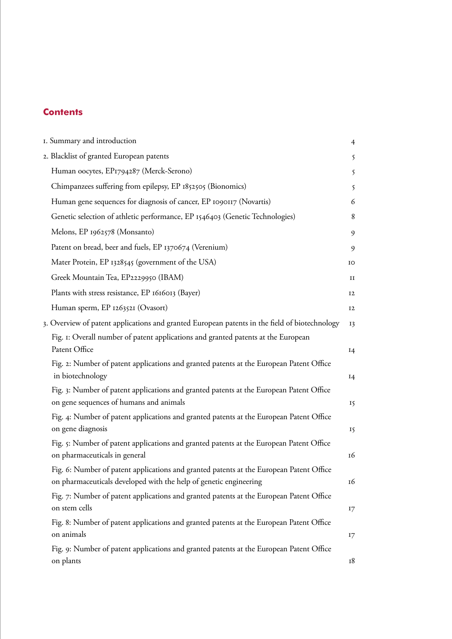## **Contents**

| I. Summary and introduction                                                                                                                                  | $\overline{4}$ |
|--------------------------------------------------------------------------------------------------------------------------------------------------------------|----------------|
| 2. Blacklist of granted European patents                                                                                                                     | 5              |
| Human oocytes, EP1794287 (Merck-Serono)                                                                                                                      | 5              |
| Chimpanzees suffering from epilepsy, EP 1852505 (Bionomics)                                                                                                  | 5              |
| Human gene sequences for diagnosis of cancer, EP 1090117 (Novartis)                                                                                          | 6              |
| Genetic selection of athletic performance, EP 1546403 (Genetic Technologies)                                                                                 | 8              |
| Melons, EP 1962578 (Monsanto)                                                                                                                                | 9              |
| Patent on bread, beer and fuels, EP 1370674 (Verenium)                                                                                                       | 9              |
| Mater Protein, EP 1328545 (government of the USA)                                                                                                            | IO             |
| Greek Mountain Tea, EP2229950 (IBAM)                                                                                                                         | п              |
| Plants with stress resistance, EP 1616013 (Bayer)                                                                                                            | <b>I2</b>      |
| Human sperm, EP 1263521 (Ovasort)                                                                                                                            | 12             |
| 3. Overview of patent applications and granted European patents in the field of biotechnology                                                                | <b>13</b>      |
| Fig. 1: Overall number of patent applications and granted patents at the European<br>Patent Office                                                           | I4             |
| Fig. 2: Number of patent applications and granted patents at the European Patent Office<br>in biotechnology                                                  | I4             |
| Fig. 3: Number of patent applications and granted patents at the European Patent Office<br>on gene sequences of humans and animals                           | 15             |
| Fig. 4: Number of patent applications and granted patents at the European Patent Office<br>on gene diagnosis                                                 | 15             |
| Fig. 5: Number of patent applications and granted patents at the European Patent Office<br>on pharmaceuticals in general                                     | 16             |
| Fig. 6: Number of patent applications and granted patents at the European Patent Office<br>on pharmaceuticals developed with the help of genetic engineering | 16             |
| Fig. 7: Number of patent applications and granted patents at the European Patent Office<br>on stem cells                                                     | 17             |
| Fig. 8: Number of patent applications and granted patents at the European Patent Office<br>on animals                                                        | 17             |
| Fig. 9: Number of patent applications and granted patents at the European Patent Office<br>on plants                                                         | 18             |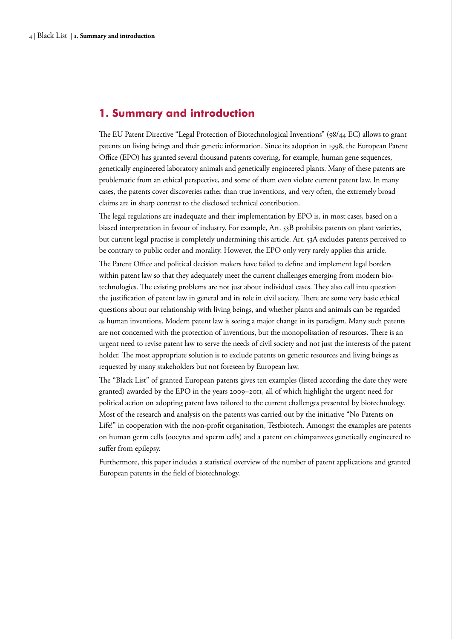## <span id="page-3-0"></span>**1. Summary and introduction**

The EU Patent Directive "Legal Protection of Biotechnological Inventions" (98/44 EC) allows to grant patents on living beings and their genetic information. Since its adoption in 1998, the European Patent Office (EPO) has granted several thousand patents covering, for example, human gene sequences, genetically engineered laboratory animals and genetically engineered plants. Many of these patents are problematic from an ethical perspective, and some of them even violate current patent law. In many cases, the patents cover discoveries rather than true inventions, and very often, the extremely broad claims are in sharp contrast to the disclosed technical contribution.

The legal regulations are inadequate and their implementation by EPO is, in most cases, based on a biased interpretation in favour of industry. For example, Art. 53B prohibits patents on plant varieties, but current legal practise is completely undermining this article. Art. 53A excludes patents perceived to be contrary to public order and morality. However, the EPO only very rarely applies this article. The Patent Office and political decision makers have failed to define and implement legal borders within patent law so that they adequately meet the current challenges emerging from modern biotechnologies. The existing problems are not just about individual cases. They also call into question the justification of patent law in general and its role in civil society. There are some very basic ethical questions about our relationship with living beings, and whether plants and animals can be regarded as human inventions. Modern patent law is seeing a major change in its paradigm. Many such patents are not concerned with the protection of inventions, but the monopolisation of resources. There is an urgent need to revise patent law to serve the needs of civil society and not just the interests of the patent holder. The most appropriate solution is to exclude patents on genetic resources and living beings as requested by many stakeholders but not foreseen by European law.

The "Black List" of granted European patents gives ten examples (listed according the date they were granted) awarded by the EPO in the years 2009–2011, all of which highlight the urgent need for political action on adopting patent laws tailored to the current challenges presented by biotechnology. Most of the research and analysis on the patents was carried out by the initiative "No Patents on Life!" in cooperation with the non-profit organisation, Testbiotech. Amongst the examples are patents on human germ cells (oocytes and sperm cells) and a patent on chimpanzees genetically engineered to suffer from epilepsy.

Furthermore, this paper includes a statistical overview of the number of patent applications and granted European patents in the field of biotechnology.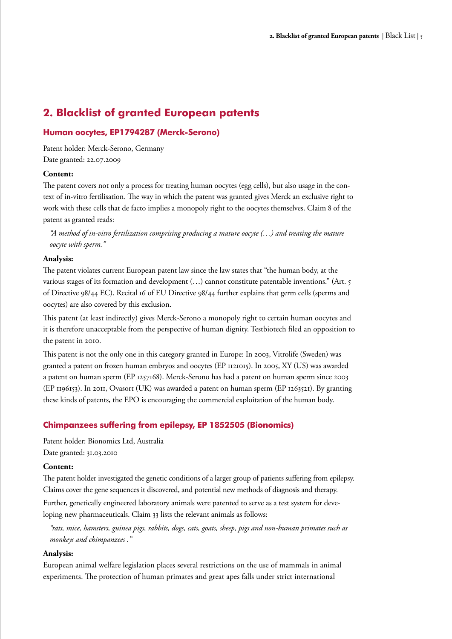## <span id="page-4-0"></span>**2. Blacklist of granted European patents**

## **Human oocytes, EP1794287 (Merck-Serono)**

Patent holder: Merck-Serono, Germany Date granted: 22.07.2009

## **Content:**

The patent covers not only a process for treating human oocytes (egg cells), but also usage in the context of in-vitro fertilisation. The way in which the patent was granted gives Merck an exclusive right to work with these cells that de facto implies a monopoly right to the oocytes themselves. Claim 8 of the patent as granted reads:

*"A method of in-vitro fertilization comprising producing a mature oocyte (…) and treating the mature oocyte with sperm."* 

## **Analysis:**

The patent violates current European patent law since the law states that "the human body, at the various stages of its formation and development (…) cannot constitute patentable inventions." (Art. 5 of Directive 98/44 EC). Recital 16 of EU Directive 98/44 further explains that germ cells (sperms and oocytes) are also covered by this exclusion.

This patent (at least indirectly) gives Merck-Serono a monopoly right to certain human oocytes and it is therefore unacceptable from the perspective of human dignity. Testbiotech filed an opposition to the patent in 2010.

This patent is not the only one in this category granted in Europe: In 2003, Vitrolife (Sweden) was granted a patent on frozen human embryos and oocytes (EP 1121015). In 2005, XY (US) was awarded a patent on human sperm (EP 1257168). Merck-Serono has had a patent on human sperm since 2003 (EP 1196153). In 2011, Ovasort (UK) was awarded a patent on human sperm (EP 1263521). By granting these kinds of patents, the EPO is encouraging the commercial exploitation of the human body.

## **Chimpanzees suffering from epilepsy, EP 1852505 (Bionomics)**

Patent holder: Bionomics Ltd, Australia Date granted: 31.03.2010

## **Content:**

The patent holder investigated the genetic conditions of a larger group of patients suffering from epilepsy. Claims cover the gene sequences it discovered, and potential new methods of diagnosis and therapy.

Further, genetically engineered laboratory animals were patented to serve as a test system for developing new pharmaceuticals. Claim 33 lists the relevant animals as follows:

*"rats, mice, hamsters, guinea pigs, rabbits, dogs, cats, goats, sheep, pigs and non-human primates such as monkeys and chimpanzees ."* 

#### **Analysis:**

European animal welfare legislation places several restrictions on the use of mammals in animal experiments. The protection of human primates and great apes falls under strict international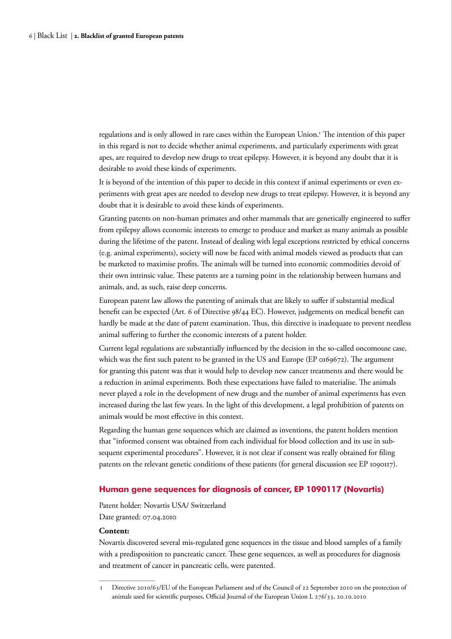<span id="page-5-0"></span>regulations and is only allowed in rare cases within the European Union.<sup>1</sup> The intention of this paper in this regard is not to decide whether animal experiments, and particularly experiments with great apes, are required to develop new drugs to treat epilepsy. However, it is beyond any doubt that it is desirable to avoid these kinds of experiments.

It is beyond of the intention of this paper to decide in this context if animal experiments or even experiments with great apes are needed to develop new drugs to treat epilepsy. However, it is beyond any doubt that it is desirable to avoid these kinds of experiments.

Granting patents on non-human primates and other mammals that are genetically engineered to suffer from epilepsy allows economic interests to emerge to produce and market as many animals as possible during the lifetime of the patent. Instead of dealing with legal exceptions restricted by ethical concerns (e.g. animal experiments), society will now be faced with animal models viewed as products that can be marketed to maximise profits. The animals will be turned into economic commodities devoid of their own intrinsic value. These patents are a turning point in the relationship between humans and animals, and, as such, raise deep concerns.

European patent law allows the patenting of animals that are likely to suffer if substantial medical benefit can be expected (Art. 6 of Directive 98/44 EC). However, judgements on medical benefit can hardly be made at the date of patent examination. Thus, this directive is inadequate to prevent needless animal suffering to further the economic interests of a patent holder.

Current legal regulations are substantially influenced by the decision in the so-called oncomouse case, which was the first such patent to be granted in the US and Europe (EP 0169672). The argument for granting this patent was that it would help to develop new cancer treatments and there would be a reduction in animal experiments. Both these expectations have failed to materialise. The animals never played a role in the development of new drugs and the number of animal experiments has even increased during the last few years. In the light of this development, a legal prohibition of patents on animals would be most effective in this context.

Regarding the human gene sequences which are claimed as inventions, the patent holders mention that "informed consent was obtained from each individual for blood collection and its use in subsequent experimental procedures". However, it is not clear if consent was really obtained for filing patents on the relevant genetic conditions of these patients (for general discussion see EP 1090117).

#### **Human gene sequences for diagnosis of cancer, EP 1090117 (Novartis)**

Patent holder: Novartis USA/ Switzerland Date granted: 07.04.2010

#### **Content:**

Novartis discovered several mis-regulated gene sequences in the tissue and blood samples of a family with a predisposition to pancreatic cancer. These gene sequences, as well as procedures for diagnosis and treatment of cancer in pancreatic cells, were patented.

<sup>1</sup> Directive 2010/63/EU of the European Parliament and of the Council of 22 September 2010 on the protection of animals used for scientific purposes, Official Journal of the European Union L 276/33, 20.10.2010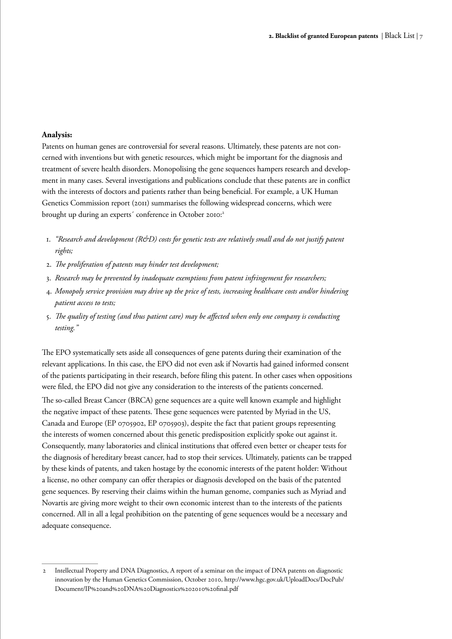#### **Analysis:**

Patents on human genes are controversial for several reasons. Ultimately, these patents are not concerned with inventions but with genetic resources, which might be important for the diagnosis and treatment of severe health disorders. Monopolising the gene sequences hampers research and development in many cases. Several investigations and publications conclude that these patents are in conflict with the interests of doctors and patients rather than being beneficial. For example, a UK Human Genetics Commission report (2011) summarises the following widespread concerns, which were brought up during an experts' conference in October 2010:<sup>2</sup>

- 1. *"Research and development (R&D) costs for genetic tests are relatively small and do not justify patent rights;*
- 2. *The proliferation of patents may hinder test development;*
- 3. *Research may be prevented by inadequate exemptions from patent infringement for researchers;*
- 4. *Monopoly service provision may drive up the price of tests, increasing healthcare costs and/or hindering patient access to tests;*
- 5. *The quality of testing (and thus patient care) may be affected when only one company is conducting testing."*

The EPO systematically sets aside all consequences of gene patents during their examination of the relevant applications. In this case, the EPO did not even ask if Novartis had gained informed consent of the patients participating in their research, before filing this patent. In other cases when oppositions were filed, the EPO did not give any consideration to the interests of the patients concerned. The so-called Breast Cancer (BRCA) gene sequences are a quite well known example and highlight the negative impact of these patents. These gene sequences were patented by Myriad in the US, Canada and Europe (EP 0705902, EP 0705903), despite the fact that patient groups representing the interests of women concerned about this genetic predisposition explicitly spoke out against it. Consequently, many laboratories and clinical institutions that offered even better or cheaper tests for the diagnosis of hereditary breast cancer, had to stop their services. Ultimately, patients can be trapped by these kinds of patents, and taken hostage by the economic interests of the patent holder: Without a license, no other company can offer therapies or diagnosis developed on the basis of the patented gene sequences. By reserving their claims within the human genome, companies such as Myriad and Novartis are giving more weight to their own economic interest than to the interests of the patients concerned. All in all a legal prohibition on the patenting of gene sequences would be a necessary and adequate consequence.

<sup>2</sup> Intellectual Property and DNA Diagnostics, A report of a seminar on the impact of DNA patents on diagnostic innovation by the Human Genetics Commission, October 2010, http://www.hgc.gov.uk/UploadDocs/DocPub/ Document/IP%20and%20DNA%20Diagnostics%202010%20final.pdf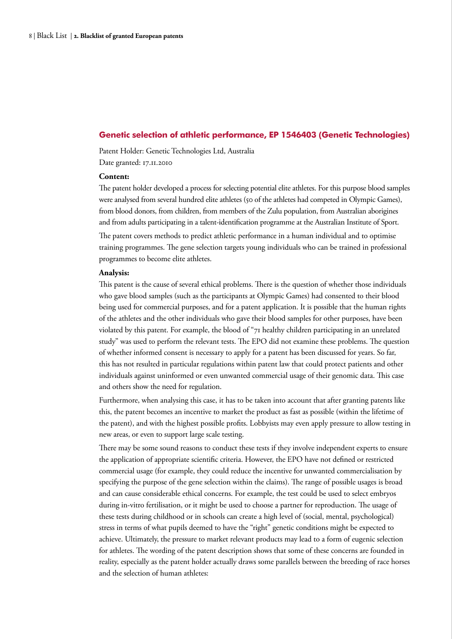## <span id="page-7-0"></span>**Genetic selection of athletic performance, EP 1546403 (Genetic Technologies)**

Patent Holder: Genetic Technologies Ltd, Australia Date granted: 17.11.2010

#### **Content:**

The patent holder developed a process for selecting potential elite athletes. For this purpose blood samples were analysed from several hundred elite athletes (50 of the athletes had competed in Olympic Games), from blood donors, from children, from members of the Zulu population, from Australian aborigines and from adults participating in a talent-identification programme at the Australian Institute of Sport.

The patent covers methods to predict athletic performance in a human individual and to optimise training programmes. The gene selection targets young individuals who can be trained in professional programmes to become elite athletes.

#### **Analysis:**

This patent is the cause of several ethical problems. There is the question of whether those individuals who gave blood samples (such as the participants at Olympic Games) had consented to their blood being used for commercial purposes, and for a patent application. It is possible that the human rights of the athletes and the other individuals who gave their blood samples for other purposes, have been violated by this patent. For example, the blood of "71 healthy children participating in an unrelated study" was used to perform the relevant tests. The EPO did not examine these problems. The question of whether informed consent is necessary to apply for a patent has been discussed for years. So far, this has not resulted in particular regulations within patent law that could protect patients and other individuals against uninformed or even unwanted commercial usage of their genomic data. This case and others show the need for regulation.

Furthermore, when analysing this case, it has to be taken into account that after granting patents like this, the patent becomes an incentive to market the product as fast as possible (within the lifetime of the patent), and with the highest possible profits. Lobbyists may even apply pressure to allow testing in new areas, or even to support large scale testing.

There may be some sound reasons to conduct these tests if they involve independent experts to ensure the application of appropriate scientific criteria. However, the EPO have not defined or restricted commercial usage (for example, they could reduce the incentive for unwanted commercialisation by specifying the purpose of the gene selection within the claims). The range of possible usages is broad and can cause considerable ethical concerns. For example, the test could be used to select embryos during in-vitro fertilisation, or it might be used to choose a partner for reproduction. The usage of these tests during childhood or in schools can create a high level of (social, mental, psychological) stress in terms of what pupils deemed to have the "right" genetic conditions might be expected to achieve. Ultimately, the pressure to market relevant products may lead to a form of eugenic selection for athletes. The wording of the patent description shows that some of these concerns are founded in reality, especially as the patent holder actually draws some parallels between the breeding of race horses and the selection of human athletes: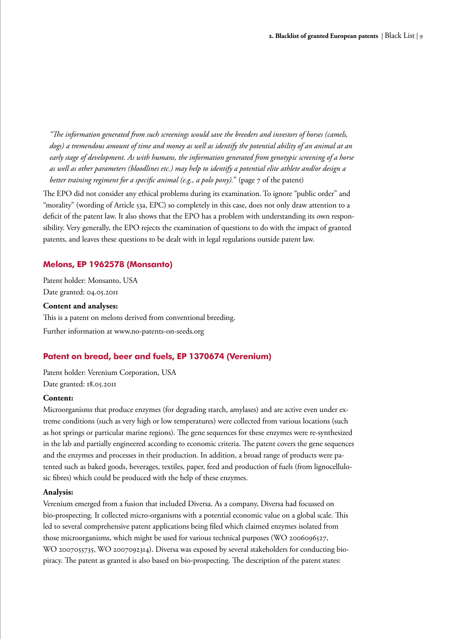<span id="page-8-0"></span>*"The information generated from such screenings would save the breeders and investors of horses (camels, dogs) a tremendous amount of time and money as well as identify the potential ability of an animal at an early stage of development. As with humans, the information generated from genotypic screening of a horse as well as other parameters (bloodlines etc.) may help to identify a potential elite athlete and/or design a better training regiment for a specific animal (e.g., a polo pony).*" (page 7 of the patent)

The EPO did not consider any ethical problems during its examination. To ignore "public order" and "morality" (wording of Article 53a, EPC) so completely in this case, does not only draw attention to a deficit of the patent law. It also shows that the EPO has a problem with understanding its own responsibility. Very generally, the EPO rejects the examination of questions to do with the impact of granted patents, and leaves these questions to be dealt with in legal regulations outside patent law.

## **Melons, EP 1962578 (Monsanto)**

Patent holder: Monsanto, USA Date granted: 04.05.2011

#### **Content and analyses:**

This is a patent on melons derived from conventional breeding. Further information at www.no-patents-on-seeds.org

## **Patent on bread, beer and fuels, EP 1370674 (Verenium)**

Patent holder: Verenium Corporation, USA Date granted: 18.05.2011

## **Content:**

Microorganisms that produce enzymes (for degrading starch, amylases) and are active even under extreme conditions (such as very high or low temperatures) were collected from various locations (such as hot springs or particular marine regions). The gene sequences for these enzymes were re-synthesized in the lab and partially engineered according to economic criteria. The patent covers the gene sequences and the enzymes and processes in their production. In addition, a broad range of products were patented such as baked goods, beverages, textiles, paper, feed and production of fuels (from lignocellulosic fibres) which could be produced with the help of these enzymes.

#### **Analysis:**

Verenium emerged from a fusion that included Diversa. As a company, Diversa had focussed on bio-prospecting. It collected micro-organisms with a potential economic value on a global scale. This led to several comprehensive patent applications being filed which claimed enzymes isolated from those microorganisms, which might be used for various technical purposes (WO 2006096527, WO 2007055735, WO 2007092314). Diversa was exposed by several stakeholders for conducting biopiracy. The patent as granted is also based on bio-prospecting. The description of the patent states: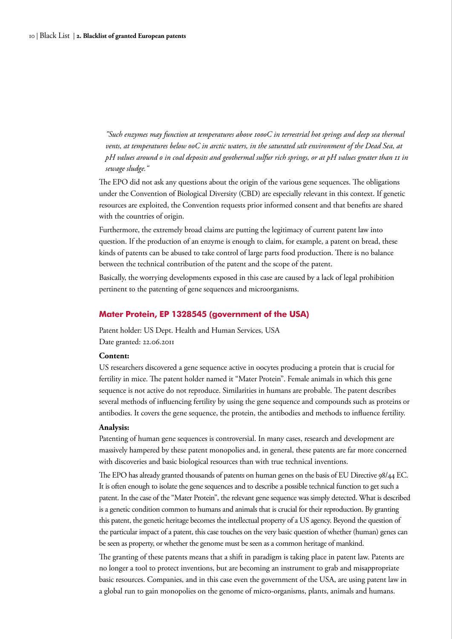<span id="page-9-0"></span>*"Such enzymes may function at temperatures above 100oC in terrestrial hot springs and deep sea thermal vents, at temperatures below 0oC in arctic waters, in the saturated salt environment of the Dead Sea, at pH values around 0 in coal deposits and geothermal sulfur rich springs, or at pH values greater than 11 in sewage sludge."*

The EPO did not ask any questions about the origin of the various gene sequences. The obligations under the Convention of Biological Diversity (CBD) are especially relevant in this context. If genetic resources are exploited, the Convention requests prior informed consent and that benefits are shared with the countries of origin.

Furthermore, the extremely broad claims are putting the legitimacy of current patent law into question. If the production of an enzyme is enough to claim, for example, a patent on bread, these kinds of patents can be abused to take control of large parts food production. There is no balance between the technical contribution of the patent and the scope of the patent.

Basically, the worrying developments exposed in this case are caused by a lack of legal prohibition pertinent to the patenting of gene sequences and microorganisms.

#### **Mater Protein, EP 1328545 (government of the USA)**

Patent holder: US Dept. Health and Human Services, USA Date granted: 22.06.2011

#### **Content:**

US researchers discovered a gene sequence active in oocytes producing a protein that is crucial for fertility in mice. The patent holder named it "Mater Protein". Female animals in which this gene sequence is not active do not reproduce. Similarities in humans are probable. The patent describes several methods of influencing fertility by using the gene sequence and compounds such as proteins or antibodies. It covers the gene sequence, the protein, the antibodies and methods to influence fertility.

#### **Analysis:**

Patenting of human gene sequences is controversial. In many cases, research and development are massively hampered by these patent monopolies and, in general, these patents are far more concerned with discoveries and basic biological resources than with true technical inventions.

The EPO has already granted thousands of patents on human genes on the basis of EU Directive 98/44 EC. It is often enough to isolate the gene sequences and to describe a possible technical function to get such a patent. In the case of the "Mater Protein", the relevant gene sequence was simply detected. What is described is a genetic condition common to humans and animals that is crucial for their reproduction. By granting this patent, the genetic heritage becomes the intellectual property of a US agency. Beyond the question of the particular impact of a patent, this case touches on the very basic question of whether (human) genes can be seen as property, or whether the genome must be seen as a common heritage of mankind.

The granting of these patents means that a shift in paradigm is taking place in patent law. Patents are no longer a tool to protect inventions, but are becoming an instrument to grab and misappropriate basic resources. Companies, and in this case even the government of the USA, are using patent law in a global run to gain monopolies on the genome of micro-organisms, plants, animals and humans.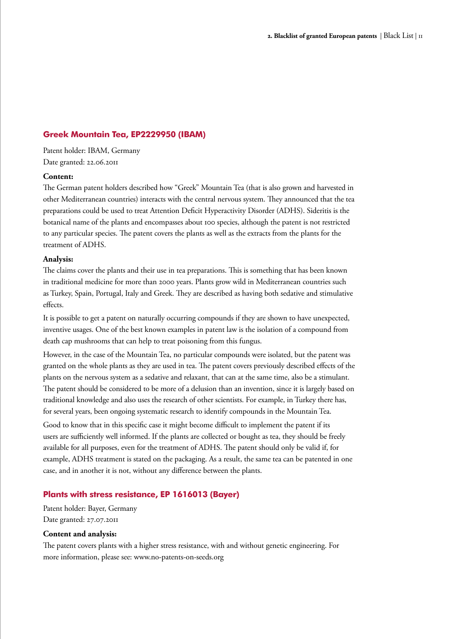## <span id="page-10-0"></span>**Greek Mountain Tea, EP2229950 (IBAM)**

Patent holder: IBAM, Germany Date granted: 22.06.2011

#### **Content:**

The German patent holders described how "Greek" Mountain Tea (that is also grown and harvested in other Mediterranean countries) interacts with the central nervous system. They announced that the tea preparations could be used to treat Attention Deficit Hyperactivity Disorder (ADHS). Sideritis is the botanical name of the plants and encompasses about 100 species, although the patent is not restricted to any particular species. The patent covers the plants as well as the extracts from the plants for the treatment of ADHS.

#### **Analysis:**

The claims cover the plants and their use in tea preparations. This is something that has been known in traditional medicine for more than 2000 years. Plants grow wild in Mediterranean countries such as Turkey, Spain, Portugal, Italy and Greek. They are described as having both sedative and stimulative effects.

It is possible to get a patent on naturally occurring compounds if they are shown to have unexpected, inventive usages. One of the best known examples in patent law is the isolation of a compound from death cap mushrooms that can help to treat poisoning from this fungus.

However, in the case of the Mountain Tea, no particular compounds were isolated, but the patent was granted on the whole plants as they are used in tea. The patent covers previously described effects of the plants on the nervous system as a sedative and relaxant, that can at the same time, also be a stimulant. The patent should be considered to be more of a delusion than an invention, since it is largely based on traditional knowledge and also uses the research of other scientists. For example, in Turkey there has, for several years, been ongoing systematic research to identify compounds in the Mountain Tea.

Good to know that in this specific case it might become difficult to implement the patent if its users are sufficiently well informed. If the plants are collected or bought as tea, they should be freely available for all purposes, even for the treatment of ADHS. The patent should only be valid if, for example, ADHS treatment is stated on the packaging. As a result, the same tea can be patented in one case, and in another it is not, without any difference between the plants.

## **Plants with stress resistance, EP 1616013 (Bayer)**

Patent holder: Bayer, Germany Date granted: 27.07.2011

#### **Content and analysis:**

The patent covers plants with a higher stress resistance, with and without genetic engineering. For more information, please see: www.no-patents-on-seeds.org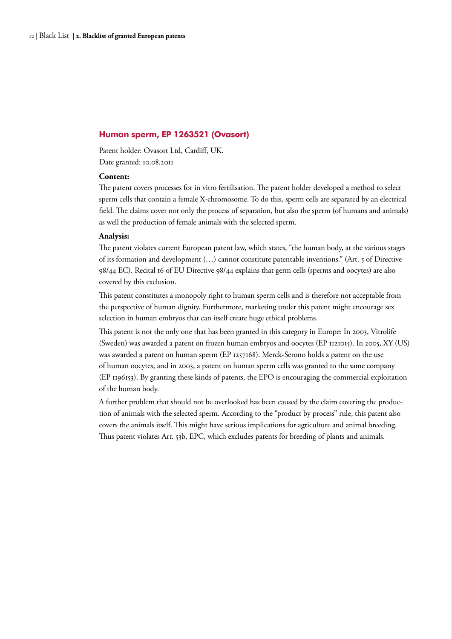#### <span id="page-11-0"></span>**Human sperm, EP 1263521 (Ovasort)**

Patent holder: Ovasort Ltd, Cardiff, UK. Date granted: 10.08.2011

#### **Content:**

The patent covers processes for in vitro fertilisation. The patent holder developed a method to select sperm cells that contain a female X-chromosome. To do this, sperm cells are separated by an electrical field. The claims cover not only the process of separation, but also the sperm (of humans and animals) as well the production of female animals with the selected sperm.

#### **Analysis:**

The patent violates current European patent law, which states, "the human body, at the various stages of its formation and development (…) cannot constitute patentable inventions." (Art. 5 of Directive 98/44 EC). Recital 16 of EU Directive 98/44 explains that germ cells (sperms and oocytes) are also covered by this exclusion.

This patent constitutes a monopoly right to human sperm cells and is therefore not acceptable from the perspective of human dignity. Furthermore, marketing under this patent might encourage sex selection in human embryos that can itself create huge ethical problems.

This patent is not the only one that has been granted in this category in Europe: In 2003, Vitrolife (Sweden) was awarded a patent on frozen human embryos and oocytes (EP 1121015). In 2005, XY (US) was awarded a patent on human sperm (EP 1257168). Merck-Serono holds a patent on the use of human oocytes, and in 2003, a patent on human sperm cells was granted to the same company (EP 1196153). By granting these kinds of patents, the EPO is encouraging the commercial exploitation of the human body.

A further problem that should not be overlooked has been caused by the claim covering the production of animals with the selected sperm. According to the "product by process" rule, this patent also covers the animals itself. This might have serious implications for agriculture and animal breeding. Thus patent violates Art. 53b, EPC, which excludes patents for breeding of plants and animals.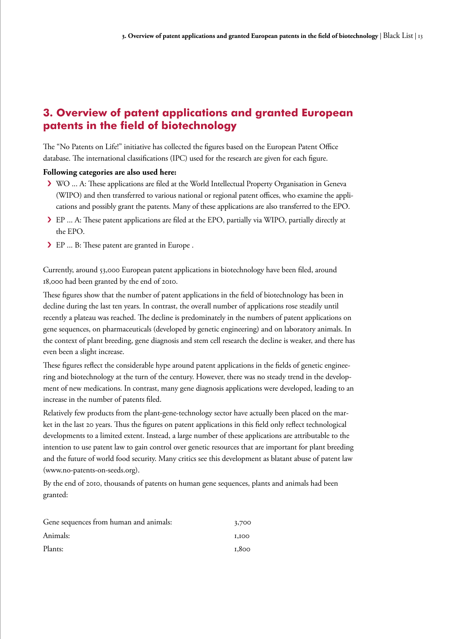# <span id="page-12-0"></span>**3. Overview of patent applications and granted European patents in the field of biotechnology**

The "No Patents on Life!" initiative has collected the figures based on the European Patent Office database. The international classifications (IPC) used for the research are given for each figure.

## **Following categories are also used here:**

- › WO ... A: These applications are filed at the World Intellectual Property Organisation in Geneva (WIPO) and then transferred to various national or regional patent offices, who examine the applications and possibly grant the patents. Many of these applications are also transferred to the EPO.
- › EP ... A: These patent applications are filed at the EPO, partially via WIPO, partially directly at the EPO.
- › EP ... B: These patent are granted in Europe .

Currently, around 53,000 European patent applications in biotechnology have been filed, around 18,000 had been granted by the end of 2010.

These figures show that the number of patent applications in the field of biotechnology has been in decline during the last ten years. In contrast, the overall number of applications rose steadily until recently a plateau was reached. The decline is predominately in the numbers of patent applications on gene sequences, on pharmaceuticals (developed by genetic engineering) and on laboratory animals. In the context of plant breeding, gene diagnosis and stem cell research the decline is weaker, and there has even been a slight increase.

These figures reflect the considerable hype around patent applications in the fields of genetic engineering and biotechnology at the turn of the century. However, there was no steady trend in the development of new medications. In contrast, many gene diagnosis applications were developed, leading to an increase in the number of patents filed.

Relatively few products from the plant-gene-technology sector have actually been placed on the market in the last 20 years. Thus the figures on patent applications in this field only reflect technological developments to a limited extent. Instead, a large number of these applications are attributable to the intention to use patent law to gain control over genetic resources that are important for plant breeding and the future of world food security. Many critics see this development as blatant abuse of patent law (www.no-patents-on-seeds.org).

By the end of 2010, thousands of patents on human gene sequences, plants and animals had been granted:

| Gene sequences from human and animals: | 3,700        |
|----------------------------------------|--------------|
| Animals:                               | <b>I,IOO</b> |
| Plants:                                | 1,800        |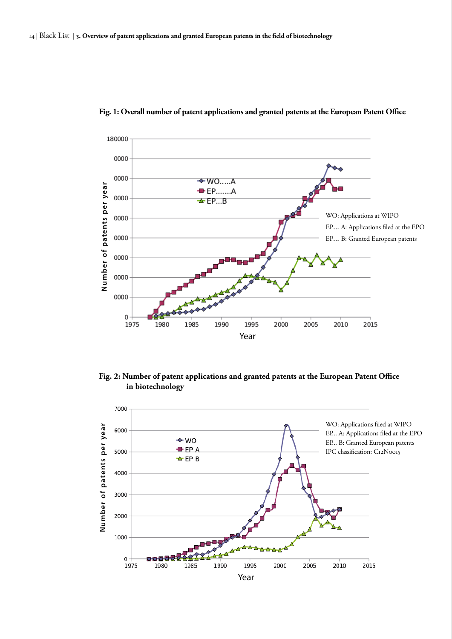

## <span id="page-13-0"></span>**Fig. 1: Overall number of patent applications and granted patents at the European Patent Office**

**Fig. 2: Number of patent applications and granted patents at the European Patent Office in biotechnology**

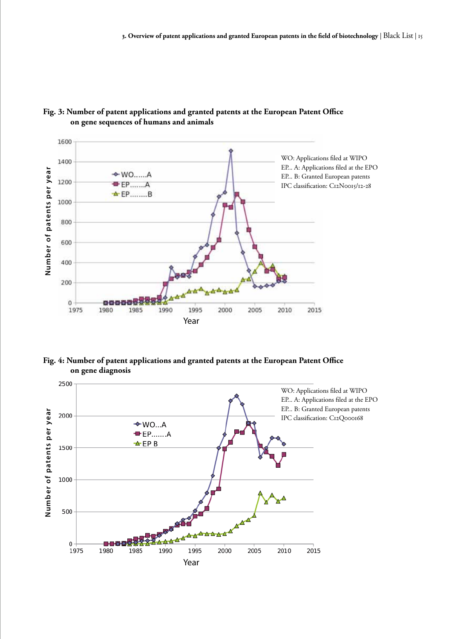

## <span id="page-14-0"></span>**Fig. 3: Number of patent applications and granted patents at the European Patent Office on gene sequences of humans and animals**

**Fig. 4: Number of patent applications and granted patents at the European Patent Office on gene diagnosis** 

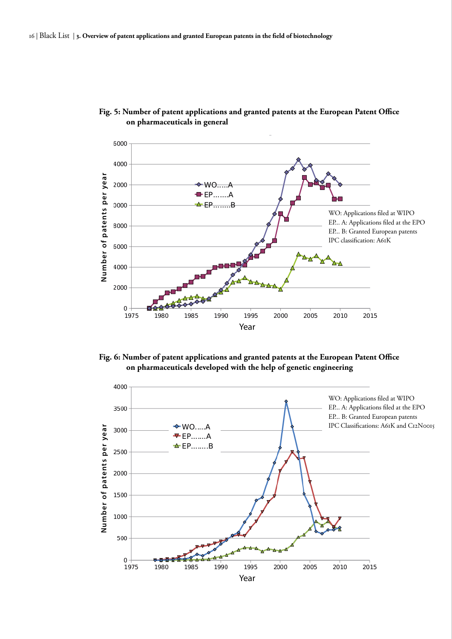

## <span id="page-15-0"></span>**Fig. 5: Number of patent applications and granted patents at the European Patent Office on pharmaceuticals in general**

**Fig. 6: Number of patent applications and granted patents at the European Patent Office on pharmaceuticals developed with the help of genetic engineering** 

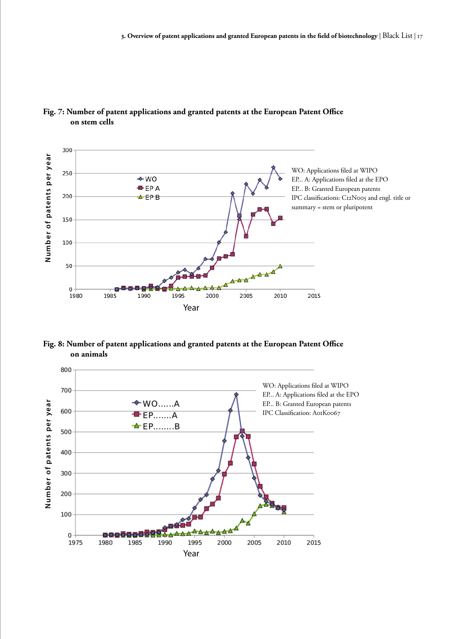

## <span id="page-16-0"></span>**Fig. 7: Number of patent applications and granted patents at the European Patent Office on stem cells**

**Fig. 8: Number of patent applications and granted patents at the European Patent Office on animals** 

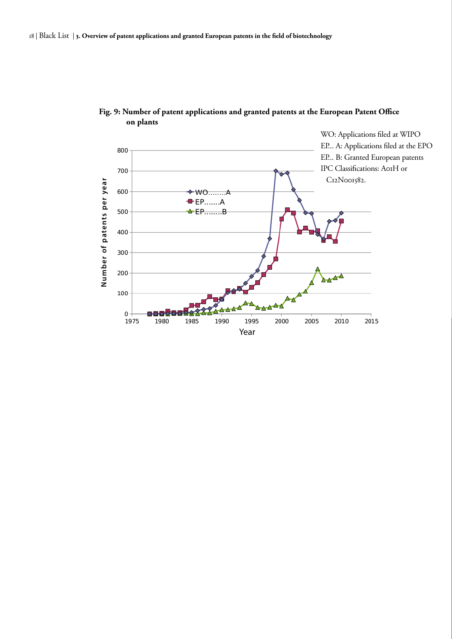

<span id="page-17-0"></span>